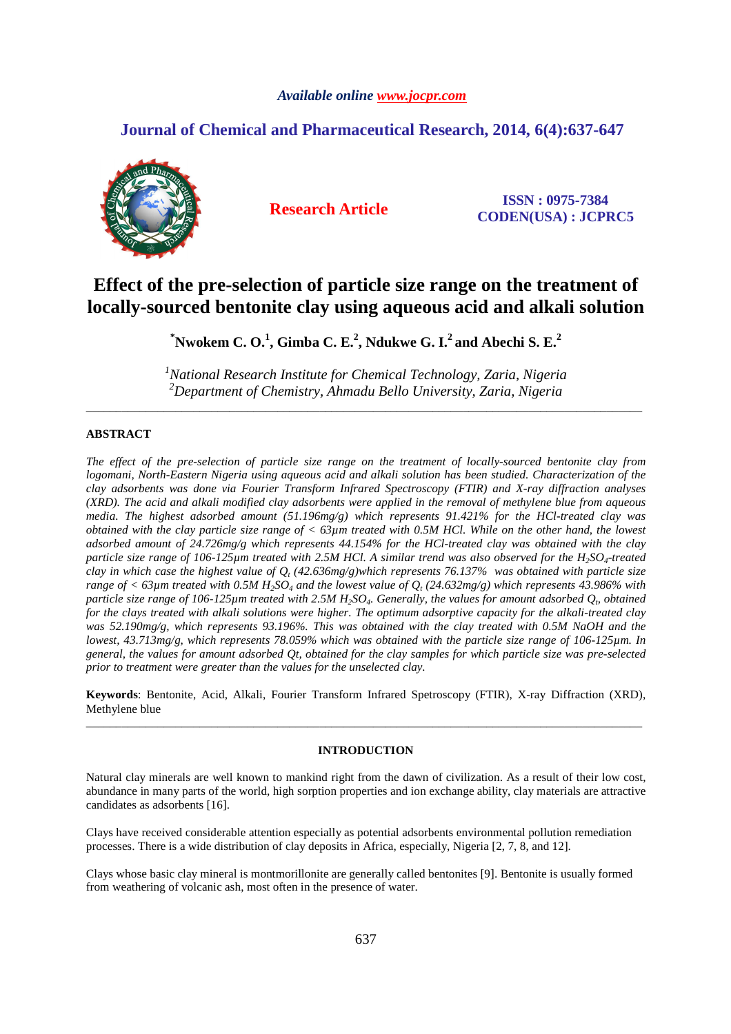## **Journal of Chemical and Pharmaceutical Research, 2014, 6(4):637-647**



**Research Article ISSN : 0975-7384 CODEN(USA) : JCPRC5**

# **Effect of the pre-selection of particle size range on the treatment of locally-sourced bentonite clay using aqueous acid and alkali solution**

**\*Nwokem C. O.<sup>1</sup> , Gimba C. E.<sup>2</sup> , Ndukwe G. I.<sup>2</sup>and Abechi S. E.<sup>2</sup>**

*<sup>1</sup>National Research Institute for Chemical Technology, Zaria, Nigeria <sup>2</sup>Department of Chemistry, Ahmadu Bello University, Zaria, Nigeria*  \_\_\_\_\_\_\_\_\_\_\_\_\_\_\_\_\_\_\_\_\_\_\_\_\_\_\_\_\_\_\_\_\_\_\_\_\_\_\_\_\_\_\_\_\_\_\_\_\_\_\_\_\_\_\_\_\_\_\_\_\_\_\_\_\_\_\_\_\_\_\_\_\_\_\_\_\_\_\_\_\_\_\_\_\_\_\_\_\_\_\_\_\_

### **ABSTRACT**

*The effect of the pre-selection of particle size range on the treatment of locally-sourced bentonite clay from logomani, North-Eastern Nigeria using aqueous acid and alkali solution has been studied. Characterization of the clay adsorbents was done via Fourier Transform Infrared Spectroscopy (FTIR) and X-ray diffraction analyses (XRD). The acid and alkali modified clay adsorbents were applied in the removal of methylene blue from aqueous media. The highest adsorbed amount (51.196mg/g) which represents 91.421% for the HCl-treated clay was obtained with the clay particle size range of < 63µm treated with 0.5M HCl. While on the other hand, the lowest adsorbed amount of 24.726mg/g which represents 44.154% for the HCl-treated clay was obtained with the clay particle size range of 106-125µm treated with 2.5M HCl. A similar trend was also observed for the H<sub>2</sub>SO<sub>4</sub>-treated clay in which case the highest value of Q<sup>t</sup> (42.636mg/g)which represents 76.137% was obtained with particle size range of < 63µm treated with 0.5M H2SO4 and the lowest value of Q<sup>t</sup> (24.632mg/g) which represents 43.986% with particle size range of 106-125µm treated with 2.5M H2SO4. Generally, the values for amount adsorbed Q<sup>t</sup> , obtained for the clays treated with alkali solutions were higher. The optimum adsorptive capacity for the alkali-treated clay was 52.190mg/g, which represents 93.196%. This was obtained with the clay treated with 0.5M NaOH and the lowest, 43.713mg/g, which represents 78.059% which was obtained with the particle size range of 106-125µm. In general, the values for amount adsorbed Qt, obtained for the clay samples for which particle size was pre-selected prior to treatment were greater than the values for the unselected clay.* 

**Keywords**: Bentonite, Acid, Alkali, Fourier Transform Infrared Spetroscopy (FTIR), X-ray Diffraction (XRD), Methylene blue \_\_\_\_\_\_\_\_\_\_\_\_\_\_\_\_\_\_\_\_\_\_\_\_\_\_\_\_\_\_\_\_\_\_\_\_\_\_\_\_\_\_\_\_\_\_\_\_\_\_\_\_\_\_\_\_\_\_\_\_\_\_\_\_\_\_\_\_\_\_\_\_\_\_\_\_\_\_\_\_\_\_\_\_\_\_\_\_\_\_\_\_\_

#### **INTRODUCTION**

Natural clay minerals are well known to mankind right from the dawn of civilization. As a result of their low cost, abundance in many parts of the world, high sorption properties and ion exchange ability, clay materials are attractive candidates as adsorbents [16].

Clays have received considerable attention especially as potential adsorbents environmental pollution remediation processes. There is a wide distribution of clay deposits in Africa, especially, Nigeria [2, 7, 8, and 12].

Clays whose basic clay mineral is montmorillonite are generally called bentonites [9]. Bentonite is usually formed from weathering of volcanic ash, most often in the presence of water.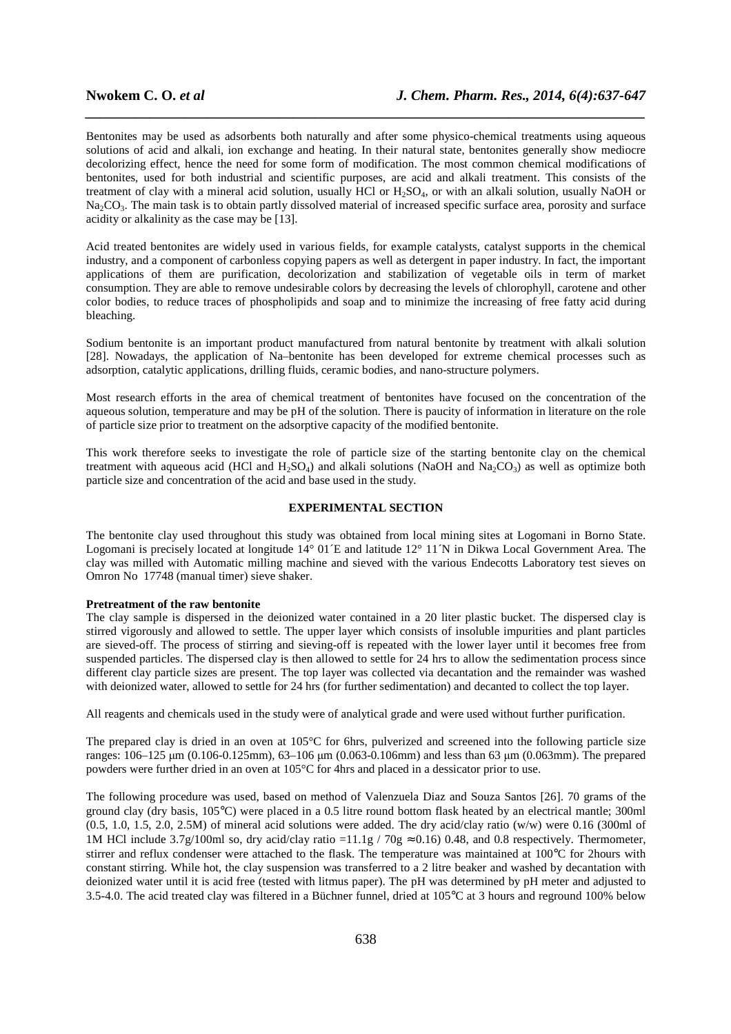Bentonites may be used as adsorbents both naturally and after some physico-chemical treatments using aqueous solutions of acid and alkali, ion exchange and heating. In their natural state, bentonites generally show mediocre decolorizing effect, hence the need for some form of modification. The most common chemical modifications of bentonites, used for both industrial and scientific purposes, are acid and alkali treatment. This consists of the treatment of clay with a mineral acid solution, usually  $\overline{HC}$  or  $H_2SO_4$ , or with an alkali solution, usually NaOH or Na<sub>2</sub>CO<sub>3</sub>. The main task is to obtain partly dissolved material of increased specific surface area, porosity and surface acidity or alkalinity as the case may be [13].

*\_\_\_\_\_\_\_\_\_\_\_\_\_\_\_\_\_\_\_\_\_\_\_\_\_\_\_\_\_\_\_\_\_\_\_\_\_\_\_\_\_\_\_\_\_\_\_\_\_\_\_\_\_\_\_\_\_\_\_\_\_\_\_\_\_\_\_\_\_\_\_\_\_\_\_\_\_\_*

Acid treated bentonites are widely used in various fields, for example catalysts, catalyst supports in the chemical industry, and a component of carbonless copying papers as well as detergent in paper industry. In fact, the important applications of them are purification, decolorization and stabilization of vegetable oils in term of market consumption. They are able to remove undesirable colors by decreasing the levels of chlorophyll, carotene and other color bodies, to reduce traces of phospholipids and soap and to minimize the increasing of free fatty acid during bleaching.

Sodium bentonite is an important product manufactured from natural bentonite by treatment with alkali solution [28]. Nowadays, the application of Na–bentonite has been developed for extreme chemical processes such as adsorption, catalytic applications, drilling fluids, ceramic bodies, and nano-structure polymers.

Most research efforts in the area of chemical treatment of bentonites have focused on the concentration of the aqueous solution, temperature and may be pH of the solution. There is paucity of information in literature on the role of particle size prior to treatment on the adsorptive capacity of the modified bentonite.

This work therefore seeks to investigate the role of particle size of the starting bentonite clay on the chemical treatment with aqueous acid (HCl and  $H_2SO_4$ ) and alkali solutions (NaOH and Na<sub>2</sub>CO<sub>3</sub>) as well as optimize both particle size and concentration of the acid and base used in the study.

### **EXPERIMENTAL SECTION**

The bentonite clay used throughout this study was obtained from local mining sites at Logomani in Borno State. Logomani is precisely located at longitude 14° 01´E and latitude 12° 11´N in Dikwa Local Government Area. The clay was milled with Automatic milling machine and sieved with the various Endecotts Laboratory test sieves on Omron No 17748 (manual timer) sieve shaker.

#### **Pretreatment of the raw bentonite**

The clay sample is dispersed in the deionized water contained in a 20 liter plastic bucket. The dispersed clay is stirred vigorously and allowed to settle. The upper layer which consists of insoluble impurities and plant particles are sieved-off. The process of stirring and sieving-off is repeated with the lower layer until it becomes free from suspended particles. The dispersed clay is then allowed to settle for 24 hrs to allow the sedimentation process since different clay particle sizes are present. The top layer was collected via decantation and the remainder was washed with deionized water, allowed to settle for 24 hrs (for further sedimentation) and decanted to collect the top layer.

All reagents and chemicals used in the study were of analytical grade and were used without further purification.

The prepared clay is dried in an oven at 105°C for 6hrs, pulverized and screened into the following particle size ranges: 106–125 µm (0.106-0.125mm), 63–106 µm (0.063-0.106mm) and less than 63 µm (0.063mm). The prepared powders were further dried in an oven at 105°C for 4hrs and placed in a dessicator prior to use.

The following procedure was used, based on method of Valenzuela Diaz and Souza Santos [26]. 70 grams of the ground clay (dry basis, 105°C) were placed in a 0.5 litre round bottom flask heated by an electrical mantle; 300ml  $(0.5, 1.0, 1.5, 2.0, 2.5M)$  of mineral acid solutions were added. The dry acid/clay ratio  $(w/w)$  were 0.16 (300ml of 1M HCl include 3.7g/100ml so, dry acid/clay ratio =11.1g / 70g  $\approx 0.16$ ) 0.48, and 0.8 respectively. Thermometer, stirrer and reflux condenser were attached to the flask. The temperature was maintained at 100°C for 2hours with constant stirring. While hot, the clay suspension was transferred to a 2 litre beaker and washed by decantation with deionized water until it is acid free (tested with litmus paper). The pH was determined by pH meter and adjusted to 3.5-4.0. The acid treated clay was filtered in a Büchner funnel, dried at 105°C at 3 hours and reground 100% below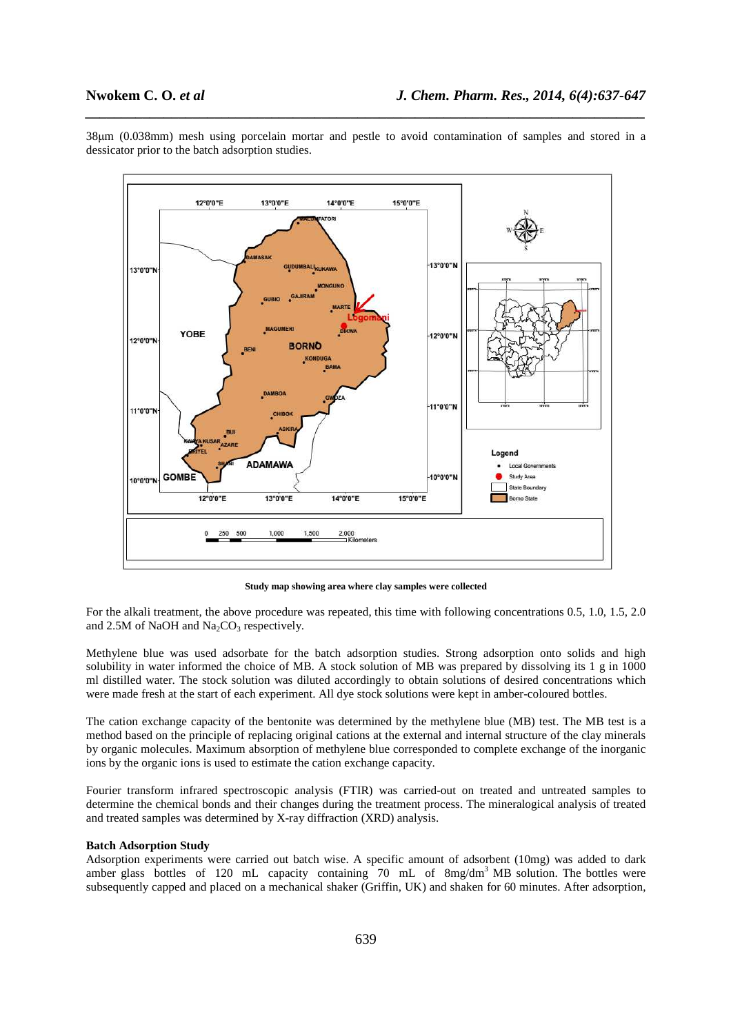

38µm (0.038mm) mesh using porcelain mortar and pestle to avoid contamination of samples and stored in a dessicator prior to the batch adsorption studies.

*\_\_\_\_\_\_\_\_\_\_\_\_\_\_\_\_\_\_\_\_\_\_\_\_\_\_\_\_\_\_\_\_\_\_\_\_\_\_\_\_\_\_\_\_\_\_\_\_\_\_\_\_\_\_\_\_\_\_\_\_\_\_\_\_\_\_\_\_\_\_\_\_\_\_\_\_\_\_*

**Study map showing area where clay samples were collected** 

For the alkali treatment, the above procedure was repeated, this time with following concentrations 0.5, 1.0, 1.5, 2.0 and  $2.5M$  of NaOH and Na<sub>2</sub>CO<sub>3</sub> respectively.

Methylene blue was used adsorbate for the batch adsorption studies. Strong adsorption onto solids and high solubility in water informed the choice of MB. A stock solution of MB was prepared by dissolving its 1 g in 1000 ml distilled water. The stock solution was diluted accordingly to obtain solutions of desired concentrations which were made fresh at the start of each experiment. All dye stock solutions were kept in amber-coloured bottles.

The cation exchange capacity of the bentonite was determined by the methylene blue (MB) test. The MB test is a method based on the principle of replacing original cations at the external and internal structure of the clay minerals by organic molecules. Maximum absorption of methylene blue corresponded to complete exchange of the inorganic ions by the organic ions is used to estimate the cation exchange capacity.

Fourier transform infrared spectroscopic analysis (FTIR) was carried-out on treated and untreated samples to determine the chemical bonds and their changes during the treatment process. The mineralogical analysis of treated and treated samples was determined by X-ray diffraction (XRD) analysis.

#### **Batch Adsorption Study**

Adsorption experiments were carried out batch wise. A specific amount of adsorbent (10mg) was added to dark amber glass bottles of 120 mL capacity containing 70 mL of 8mg/dm<sup>3</sup> MB solution. The bottles were subsequently capped and placed on a mechanical shaker (Griffin, UK) and shaken for 60 minutes. After adsorption,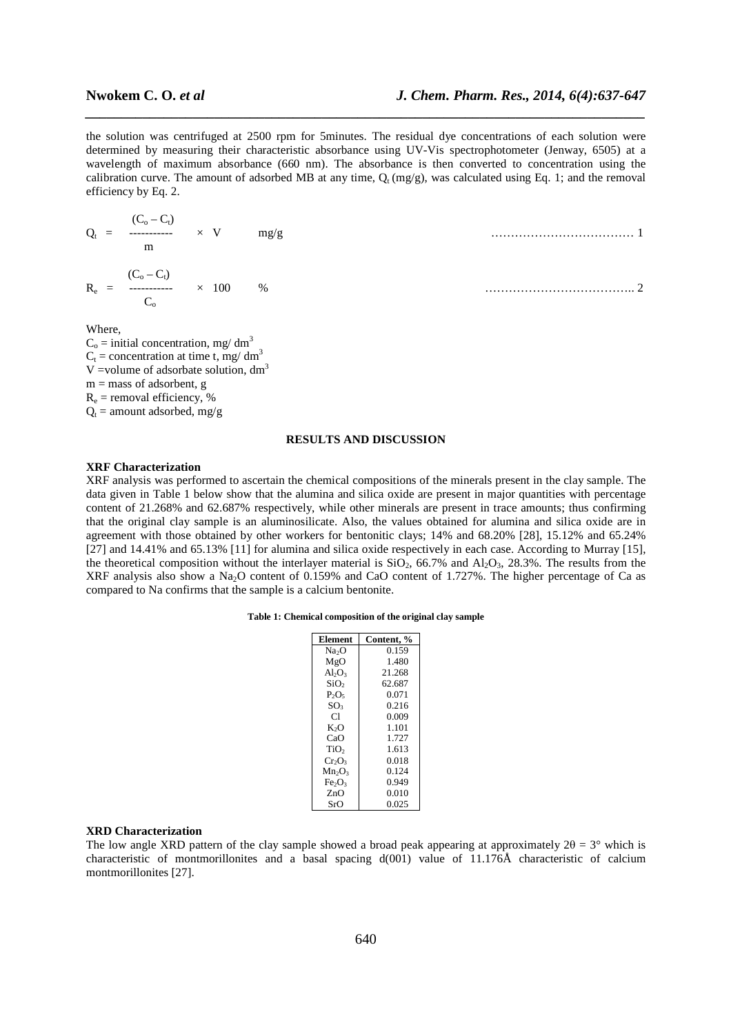= ----------- × V mg/g ……………………………… 1

= ----------- × 100 % ……………………………….. 2

the solution was centrifuged at 2500 rpm for 5minutes. The residual dye concentrations of each solution were determined by measuring their characteristic absorbance using UV-Vis spectrophotometer (Jenway, 6505) at a wavelength of maximum absorbance (660 nm). The absorbance is then converted to concentration using the calibration curve. The amount of adsorbed MB at any time,  $Q_t$  (mg/g), was calculated using Eq. 1; and the removal efficiency by Eq. 2.

*\_\_\_\_\_\_\_\_\_\_\_\_\_\_\_\_\_\_\_\_\_\_\_\_\_\_\_\_\_\_\_\_\_\_\_\_\_\_\_\_\_\_\_\_\_\_\_\_\_\_\_\_\_\_\_\_\_\_\_\_\_\_\_\_\_\_\_\_\_\_\_\_\_\_\_\_\_\_*

$$
Q_t = \begin{array}{ccc} (C_o - C_t) & & \\ \text{2.3333} & \text{2.4333} \\ m & \text{2.5333} \end{array}
$$

$$
R_e = \begin{array}{ccc} (C_o - C_l) & & \\ - \cdots & \\ C_o & & \end{array} \times 100 \qquad \%
$$

Where,

 $C_0$  = initial concentration, mg/ dm<sup>3</sup>  $C_t$  = concentration at time t, mg/ dm<sup>3</sup> V =volume of adsorbate solution,  $dm<sup>3</sup>$  $m =$  mass of adsorbent, g  $R_e$  = removal efficiency, %  $Q_t$  = amount adsorbed, mg/g

#### **RESULTS AND DISCUSSION**

#### **XRF Characterization**

XRF analysis was performed to ascertain the chemical compositions of the minerals present in the clay sample. The data given in Table 1 below show that the alumina and silica oxide are present in major quantities with percentage content of 21.268% and 62.687% respectively, while other minerals are present in trace amounts; thus confirming that the original clay sample is an aluminosilicate. Also, the values obtained for alumina and silica oxide are in agreement with those obtained by other workers for bentonitic clays; 14% and 68.20% [28], 15.12% and 65.24% [27] and 14.41% and 65.13% [11] for alumina and silica oxide respectively in each case. According to Murray [15], the theoretical composition without the interlayer material is  $SiO_2$ , 66.7% and  $Al_2O_3$ , 28.3%. The results from the XRF analysis also show a Na<sub>2</sub>O content of 0.159% and CaO content of 1.727%. The higher percentage of Ca as compared to Na confirms that the sample is a calcium bentonite.

|  | Table 1: Chemical composition of the original clay sample |  |  |  |
|--|-----------------------------------------------------------|--|--|--|
|  |                                                           |  |  |  |

| Element                        | Content, % |
|--------------------------------|------------|
| Na <sub>2</sub> O              | 0.159      |
| MgO                            | 1.480      |
| $Al_2O_3$                      | 21.268     |
| SiO <sub>2</sub>               | 62.687     |
| $P_2O_5$                       | 0.071      |
| SO <sub>3</sub>                | 0.216      |
| Сl                             | 0.009      |
| Кo                             | 1.101      |
| CaO                            | 1.727      |
| TiO <sub>2</sub>               | 1.613      |
| $Cr_2O_3$                      | 0.018      |
| $Mn_2O_3$                      | 0.124      |
| Fe <sub>2</sub> O <sub>3</sub> | 0.949      |
| ZnO                            | 0.010      |
| SrO                            | 0.025      |

#### **XRD Characterization**

The low angle XRD pattern of the clay sample showed a broad peak appearing at approximately  $2\theta = 3^{\circ}$  which is characteristic of montmorillonites and a basal spacing d(001) value of 11.176Å characteristic of calcium montmorillonites [27].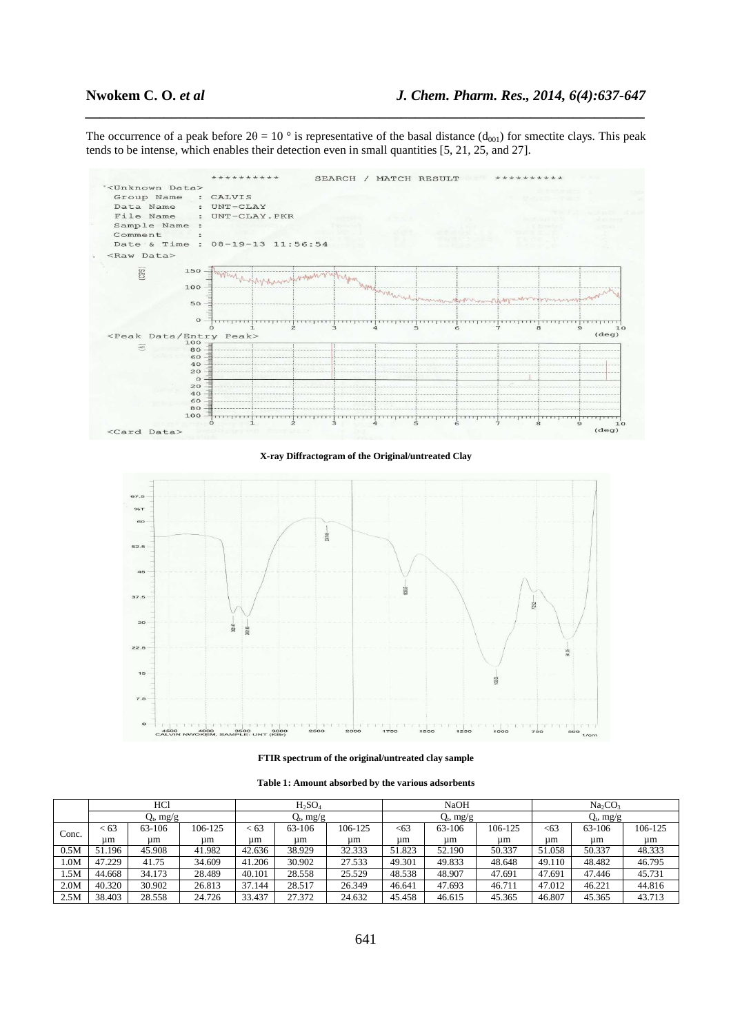The occurrence of a peak before  $2\theta = 10^\circ$  is representative of the basal distance  $(d_{001})$  for smectite clays. This peak tends to be intense, which enables their detection even in small quantities [5, 21, 25, and 27].

*\_\_\_\_\_\_\_\_\_\_\_\_\_\_\_\_\_\_\_\_\_\_\_\_\_\_\_\_\_\_\_\_\_\_\_\_\_\_\_\_\_\_\_\_\_\_\_\_\_\_\_\_\_\_\_\_\_\_\_\_\_\_\_\_\_\_\_\_\_\_\_\_\_\_\_\_\_\_*



**X-ray Diffractogram of the Original/untreated Clay** 



**FTIR spectrum of the original/untreated clay sample**

| Table 1: Amount absorbed by the various adsorbents |  |  |  |
|----------------------------------------------------|--|--|--|
|----------------------------------------------------|--|--|--|

|       | HCl<br>$Q_t$ , mg/g |        |         | H <sub>2</sub> SO <sub>4</sub><br>$Q_t$ , mg/g |        |         | <b>NaOH</b><br>$Q_t$ , mg/g |        |         | Na <sub>2</sub> CO <sub>3</sub><br>$Q_t$ , mg/g |        |         |
|-------|---------------------|--------|---------|------------------------------------------------|--------|---------|-----------------------------|--------|---------|-------------------------------------------------|--------|---------|
|       |                     |        |         |                                                |        |         |                             |        |         |                                                 |        |         |
| Conc. | < 63                | 63-106 | 106-125 | < 63                                           | 63-106 | 106-125 | <63                         | 63-106 | 106-125 | < 63                                            | 63-106 | 106-125 |
|       | μm                  | μm     | μm      | μm                                             | μm     | μm      | μm                          | μm     | μm      | μm                                              | μm     | μm      |
| 0.5M  | 51.196              | 45.908 | 41.982  | 42.636                                         | 38.929 | 32.333  | 51.823                      | 52.190 | 50.337  | 51.058                                          | 50.337 | 48.333  |
| 1.0M  | 47.229              | 41.75  | 34.609  | 41.206                                         | 30.902 | 27.533  | 49.301                      | 49.833 | 48.648  | 49.110                                          | 48.482 | 46.795  |
| .5M   | 44.668              | 34.173 | 28.489  | 40.101                                         | 28.558 | 25.529  | 48.538                      | 48.907 | 47.691  | 47.691                                          | 47.446 | 45.731  |
| 2.0M  | 40.320              | 30.902 | 26.813  | 37.144                                         | 28.517 | 26.349  | 46.641                      | 47.693 | 46.711  | 47.012                                          | 46.221 | 44.816  |
| 2.5M  | 38.403              | 28.558 | 24.726  | 33.437                                         | 27.372 | 24.632  | 45.458                      | 46.615 | 45.365  | 46.807                                          | 45.365 | 43.713  |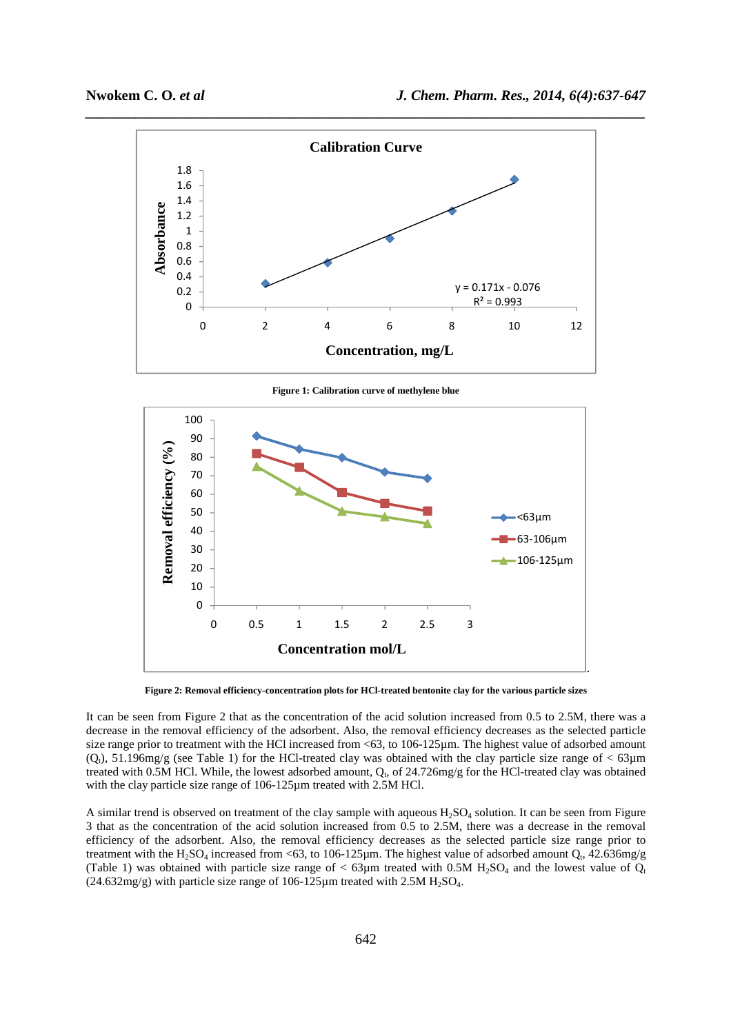

**Figure 1: Calibration curve of methylene blue** 



**Figure 2: Removal efficiency-concentration plots for HCl-treated bentonite clay for the various particle sizes** 

It can be seen from Figure 2 that as the concentration of the acid solution increased from 0.5 to 2.5M, there was a decrease in the removal efficiency of the adsorbent. Also, the removal efficiency decreases as the selected particle size range prior to treatment with the HCl increased from <63, to 106-125µm. The highest value of adsorbed amount  $(Q<sub>1</sub>)$ , 51.196mg/g (see Table 1) for the HCl-treated clay was obtained with the clay particle size range of  $<$  63 $\mu$ m treated with 0.5M HCl. While, the lowest adsorbed amount,  $Q_t$ , of 24.726mg/g for the HCl-treated clay was obtained with the clay particle size range of 106-125µm treated with 2.5M HCl.

A similar trend is observed on treatment of the clay sample with aqueous  $H_2SO_4$  solution. It can be seen from Figure 3 that as the concentration of the acid solution increased from 0.5 to 2.5M, there was a decrease in the removal efficiency of the adsorbent. Also, the removal efficiency decreases as the selected particle size range prior to treatment with the  $H_2SO_4$  increased from <63, to 106-125 $\mu$ m. The highest value of adsorbed amount  $Q_1$ , 42.636mg/g (Table 1) was obtained with particle size range of  $<$  63 $\mu$ m treated with 0.5M H<sub>2</sub>SO<sub>4</sub> and the lowest value of O<sub>t</sub>  $(24.632mg/g)$  with particle size range of 106-125 $\mu$ m treated with 2.5M H<sub>2</sub>SO<sub>4</sub>.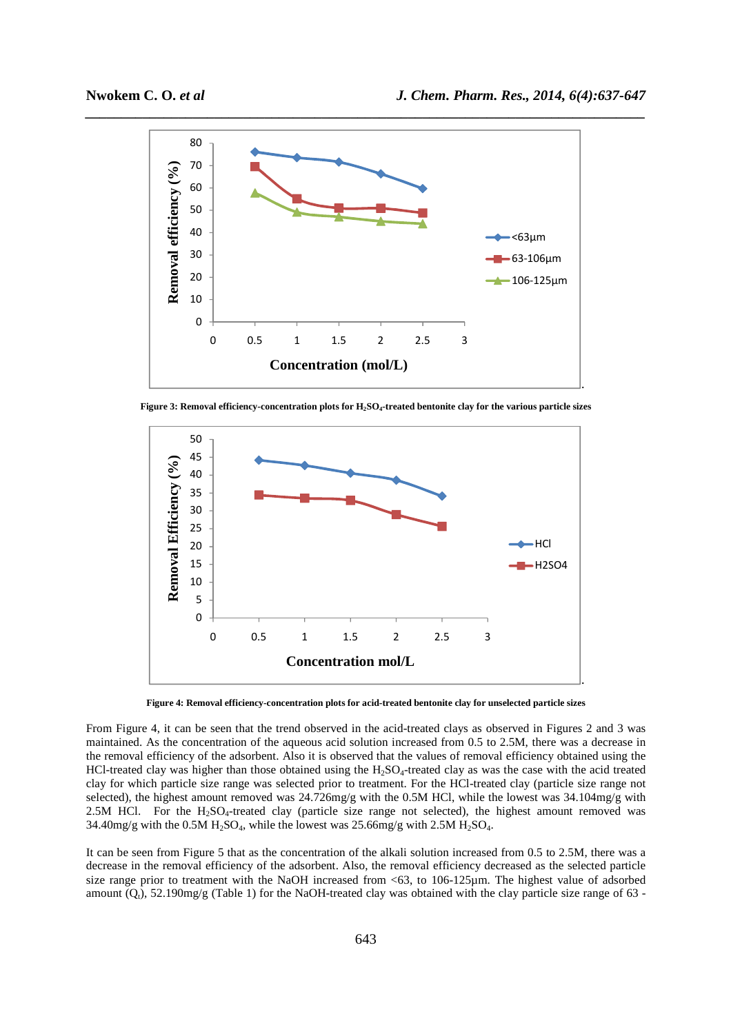

**Figure 3: Removal efficiency-concentration plots for H2SO4-treated bentonite clay for the various particle sizes** 



**Figure 4: Removal efficiency-concentration plots for acid-treated bentonite clay for unselected particle sizes** 

From Figure 4, it can be seen that the trend observed in the acid-treated clays as observed in Figures 2 and 3 was maintained. As the concentration of the aqueous acid solution increased from 0.5 to 2.5M, there was a decrease in the removal efficiency of the adsorbent. Also it is observed that the values of removal efficiency obtained using the HCl-treated clay was higher than those obtained using the  $H_2SO_4$ -treated clay as was the case with the acid treated clay for which particle size range was selected prior to treatment. For the HCl-treated clay (particle size range not selected), the highest amount removed was  $24.726$ mg/g with the 0.5M HCl, while the lowest was  $34.104$ mg/g with 2.5M HCl. For the  $H_2SO_4$ -treated clay (particle size range not selected), the highest amount removed was 34.40mg/g with the 0.5M H<sub>2</sub>SO<sub>4</sub>, while the lowest was 25.66mg/g with 2.5M H<sub>2</sub>SO<sub>4</sub>.

It can be seen from Figure 5 that as the concentration of the alkali solution increased from 0.5 to 2.5M, there was a decrease in the removal efficiency of the adsorbent. Also, the removal efficiency decreased as the selected particle size range prior to treatment with the NaOH increased from <63, to 106-125µm. The highest value of adsorbed amount  $(Q<sub>1</sub>)$ , 52.190mg/g (Table 1) for the NaOH-treated clay was obtained with the clay particle size range of 63 -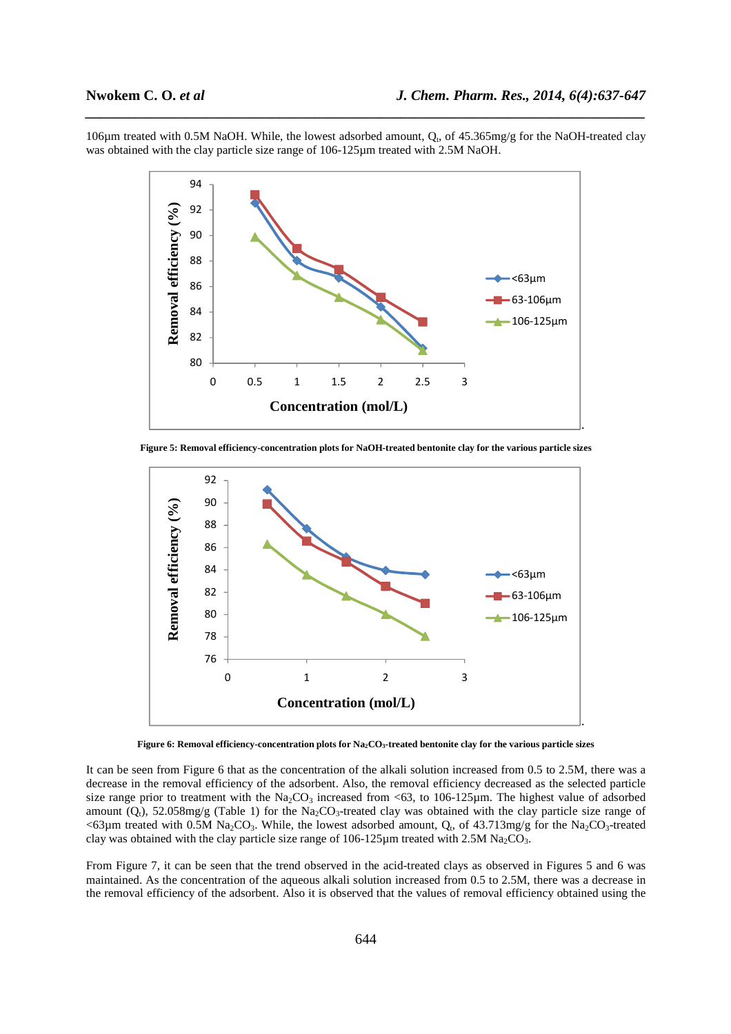106 $\mu$ m treated with 0.5M NaOH. While, the lowest adsorbed amount,  $Q_t$ , of 45.365mg/g for the NaOH-treated clay was obtained with the clay particle size range of 106-125µm treated with 2.5M NaOH.

*\_\_\_\_\_\_\_\_\_\_\_\_\_\_\_\_\_\_\_\_\_\_\_\_\_\_\_\_\_\_\_\_\_\_\_\_\_\_\_\_\_\_\_\_\_\_\_\_\_\_\_\_\_\_\_\_\_\_\_\_\_\_\_\_\_\_\_\_\_\_\_\_\_\_\_\_\_\_*



**Figure 5: Removal efficiency-concentration plots for NaOH-treated bentonite clay for the various particle sizes** 



**Figure 6: Removal efficiency-concentration plots for Na2CO3-treated bentonite clay for the various particle sizes** 

It can be seen from Figure 6 that as the concentration of the alkali solution increased from 0.5 to 2.5M, there was a decrease in the removal efficiency of the adsorbent. Also, the removal efficiency decreased as the selected particle size range prior to treatment with the  $Na_2CO_3$  increased from <63, to 106-125 $\mu$ m. The highest value of adsorbed amount (Q<sub>t</sub>), 52.058mg/g (Table 1) for the Na<sub>2</sub>CO<sub>3</sub>-treated clay was obtained with the clay particle size range of  $<$ 63 $\mu$ m treated with 0.5M Na<sub>2</sub>CO<sub>3</sub>. While, the lowest adsorbed amount, Q<sub>t</sub>, of 43.713mg/g for the Na<sub>2</sub>CO<sub>3</sub>-treated clay was obtained with the clay particle size range of 106-125 $\mu$ m treated with 2.5M Na<sub>2</sub>CO<sub>3</sub>.

From Figure 7, it can be seen that the trend observed in the acid-treated clays as observed in Figures 5 and 6 was maintained. As the concentration of the aqueous alkali solution increased from 0.5 to 2.5M, there was a decrease in the removal efficiency of the adsorbent. Also it is observed that the values of removal efficiency obtained using the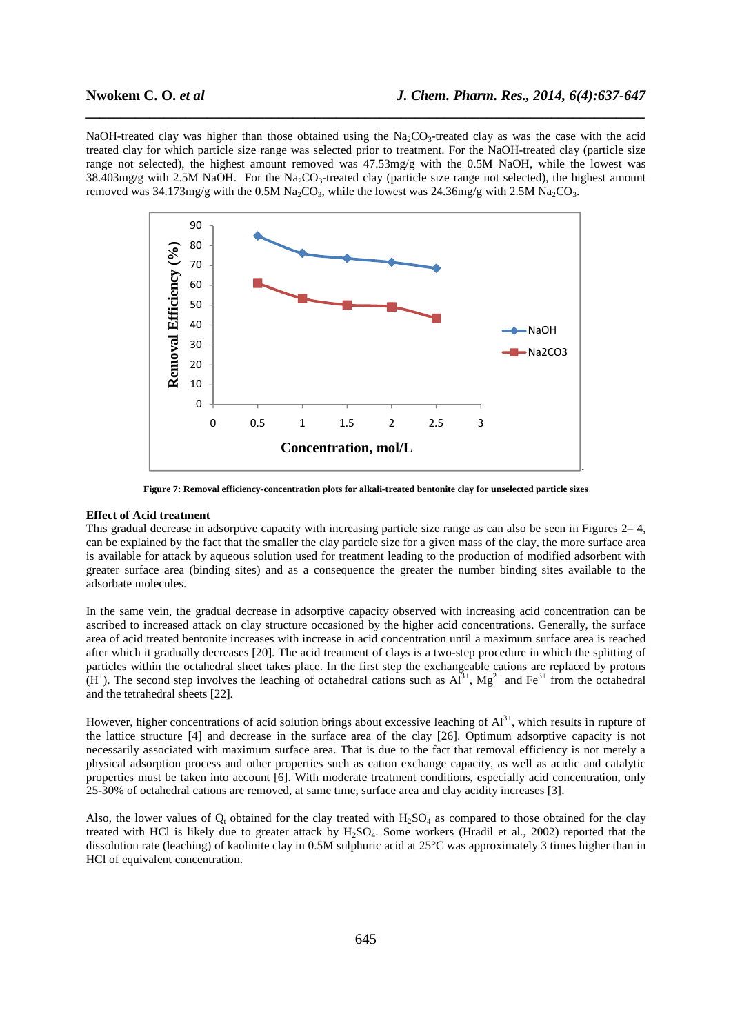NaOH-treated clay was higher than those obtained using the  $Na<sub>2</sub>CO<sub>3</sub>$ -treated clay as was the case with the acid treated clay for which particle size range was selected prior to treatment. For the NaOH-treated clay (particle size range not selected), the highest amount removed was 47.53mg/g with the 0.5M NaOH, while the lowest was  $38.403$ mg/g with 2.5M NaOH. For the Na<sub>2</sub>CO<sub>3</sub>-treated clay (particle size range not selected), the highest amount removed was  $34.173mg/g$  with the 0.5M Na<sub>2</sub>CO<sub>3</sub>, while the lowest was  $24.36mg/g$  with  $2.5M$  Na<sub>2</sub>CO<sub>3</sub>.

*\_\_\_\_\_\_\_\_\_\_\_\_\_\_\_\_\_\_\_\_\_\_\_\_\_\_\_\_\_\_\_\_\_\_\_\_\_\_\_\_\_\_\_\_\_\_\_\_\_\_\_\_\_\_\_\_\_\_\_\_\_\_\_\_\_\_\_\_\_\_\_\_\_\_\_\_\_\_*



**Figure 7: Removal efficiency-concentration plots for alkali-treated bentonite clay for unselected particle sizes** 

#### **Effect of Acid treatment**

This gradual decrease in adsorptive capacity with increasing particle size range as can also be seen in Figures 2– 4, can be explained by the fact that the smaller the clay particle size for a given mass of the clay, the more surface area is available for attack by aqueous solution used for treatment leading to the production of modified adsorbent with greater surface area (binding sites) and as a consequence the greater the number binding sites available to the adsorbate molecules.

In the same vein, the gradual decrease in adsorptive capacity observed with increasing acid concentration can be ascribed to increased attack on clay structure occasioned by the higher acid concentrations. Generally, the surface area of acid treated bentonite increases with increase in acid concentration until a maximum surface area is reached after which it gradually decreases [20]. The acid treatment of clays is a two-step procedure in which the splitting of particles within the octahedral sheet takes place. In the first step the exchangeable cations are replaced by protons  $(H<sup>+</sup>)$ . The second step involves the leaching of octahedral cations such as  $Al<sup>3+</sup>$ , Mg<sup>2+</sup> and Fe<sup>3+</sup> from the octahedral and the tetrahedral sheets [22].

However, higher concentrations of acid solution brings about excessive leaching of  $Al^{3+}$ , which results in rupture of the lattice structure [4] and decrease in the surface area of the clay [26]. Optimum adsorptive capacity is not necessarily associated with maximum surface area. That is due to the fact that removal efficiency is not merely a physical adsorption process and other properties such as cation exchange capacity, as well as acidic and catalytic properties must be taken into account [6]. With moderate treatment conditions, especially acid concentration, only 25-30% of octahedral cations are removed, at same time, surface area and clay acidity increases [3].

Also, the lower values of  $Q_t$  obtained for the clay treated with  $H_2SO_4$  as compared to those obtained for the clay treated with HCl is likely due to greater attack by H2SO4. Some workers (Hradil et al., 2002) reported that the dissolution rate (leaching) of kaolinite clay in 0.5M sulphuric acid at 25°C was approximately 3 times higher than in HCl of equivalent concentration.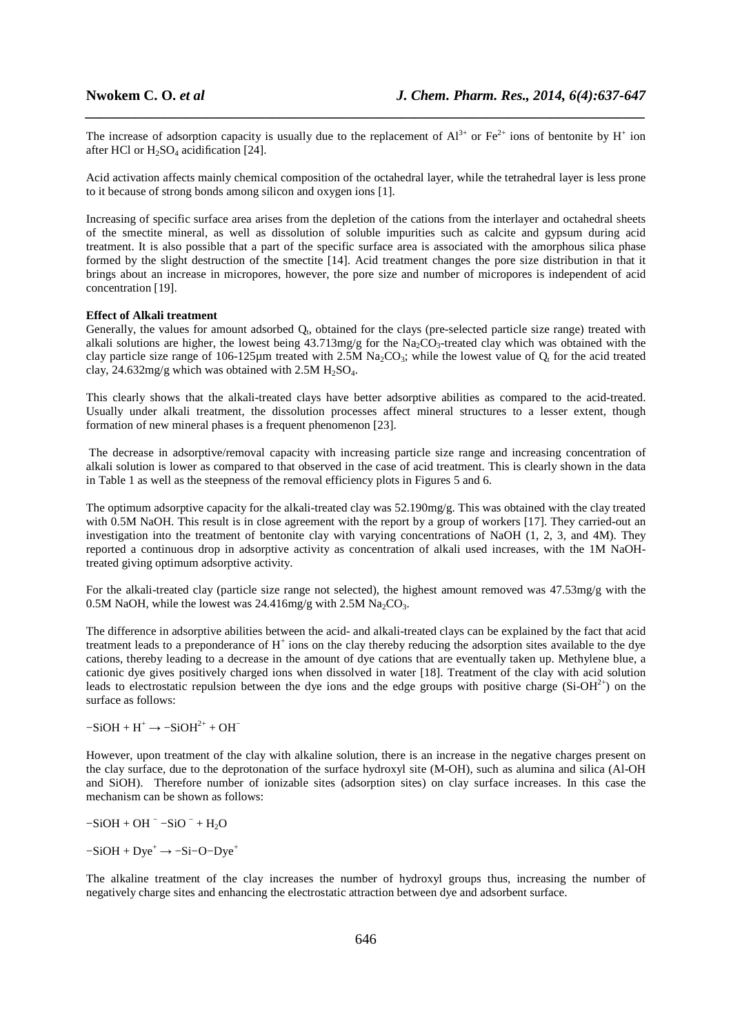The increase of adsorption capacity is usually due to the replacement of  $Al^{3+}$  or  $Fe^{2+}$  ions of bentonite by  $H^+$  ion after HCl or  $H_2SO_4$  acidification [24].

*\_\_\_\_\_\_\_\_\_\_\_\_\_\_\_\_\_\_\_\_\_\_\_\_\_\_\_\_\_\_\_\_\_\_\_\_\_\_\_\_\_\_\_\_\_\_\_\_\_\_\_\_\_\_\_\_\_\_\_\_\_\_\_\_\_\_\_\_\_\_\_\_\_\_\_\_\_\_*

Acid activation affects mainly chemical composition of the octahedral layer, while the tetrahedral layer is less prone to it because of strong bonds among silicon and oxygen ions [1].

Increasing of specific surface area arises from the depletion of the cations from the interlayer and octahedral sheets of the smectite mineral, as well as dissolution of soluble impurities such as calcite and gypsum during acid treatment. It is also possible that a part of the specific surface area is associated with the amorphous silica phase formed by the slight destruction of the smectite [14]. Acid treatment changes the pore size distribution in that it brings about an increase in micropores, however, the pore size and number of micropores is independent of acid concentration [19].

#### **Effect of Alkali treatment**

Generally, the values for amount adsorbed  $Q_t$ , obtained for the clays (pre-selected particle size range) treated with alkali solutions are higher, the lowest being  $43.713mg/g$  for the Na<sub>2</sub>CO<sub>3</sub>-treated clay which was obtained with the clay particle size range of 106-125 $\mu$ m treated with 2.5M Na<sub>2</sub>CO<sub>3</sub>; while the lowest value of Q<sub>t</sub> for the acid treated clay, 24.632mg/g which was obtained with  $2.5M H_2SO_4$ .

This clearly shows that the alkali-treated clays have better adsorptive abilities as compared to the acid-treated. Usually under alkali treatment, the dissolution processes affect mineral structures to a lesser extent, though formation of new mineral phases is a frequent phenomenon [23].

 The decrease in adsorptive/removal capacity with increasing particle size range and increasing concentration of alkali solution is lower as compared to that observed in the case of acid treatment. This is clearly shown in the data in Table 1 as well as the steepness of the removal efficiency plots in Figures 5 and 6.

The optimum adsorptive capacity for the alkali-treated clay was 52.190mg/g. This was obtained with the clay treated with 0.5M NaOH. This result is in close agreement with the report by a group of workers [17]. They carried-out an investigation into the treatment of bentonite clay with varying concentrations of NaOH (1, 2, 3, and 4M). They reported a continuous drop in adsorptive activity as concentration of alkali used increases, with the 1M NaOHtreated giving optimum adsorptive activity.

For the alkali-treated clay (particle size range not selected), the highest amount removed was 47.53mg/g with the 0.5M NaOH, while the lowest was  $24.416$ mg/g with  $2.5M$  Na<sub>2</sub>CO<sub>3</sub>.

The difference in adsorptive abilities between the acid- and alkali-treated clays can be explained by the fact that acid treatment leads to a preponderance of  $H^+$  ions on the clay thereby reducing the adsorption sites available to the dye cations, thereby leading to a decrease in the amount of dye cations that are eventually taken up. Methylene blue, a cationic dye gives positively charged ions when dissolved in water [18]. Treatment of the clay with acid solution leads to electrostatic repulsion between the dye ions and the edge groups with positive charge (Si-OH<sup>2+</sup>) on the surface as follows:

 $-SiOH + H^+ \rightarrow -SiOH^{2+} + OH^-$ 

However, upon treatment of the clay with alkaline solution, there is an increase in the negative charges present on the clay surface, due to the deprotonation of the surface hydroxyl site (M-OH), such as alumina and silica (Al-OH and SiOH). Therefore number of ionizable sites (adsorption sites) on clay surface increases. In this case the mechanism can be shown as follows:

 $-SiOH + OH - SiO + H<sub>2</sub>O$ 

 $-SiOH + Dye^{+} \rightarrow -Si-O-Dye^{+}$ 

The alkaline treatment of the clay increases the number of hydroxyl groups thus, increasing the number of negatively charge sites and enhancing the electrostatic attraction between dye and adsorbent surface.